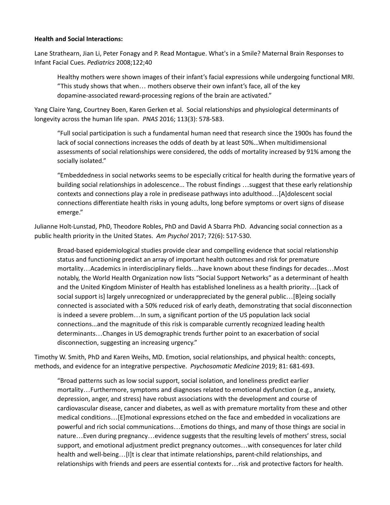### **Health and Social Interactions:**

Lane Strathearn, Jian Li, Peter Fonagy and P. Read Montague. What's in a Smile? Maternal Brain Responses to Infant Facial Cues. *Pediatrics* 2008;122;40

Healthy mothers were shown images of their infant's facial expressions while undergoing functional MRI. "This study shows that when… mothers observe their own infant's face, all of the key dopamine-associated reward-processing regions of the brain are activated."

Yang Claire Yang, Courtney Boen, Karen Gerken et al. Social relationships and physiological determinants of longevity across the human life span. *PNAS* 2016; 113(3): 578-583.

"Full social participation is such a fundamental human need that research since the 1900s has found the lack of social connections increases the odds of death by at least 50%...When multidimensional assessments of social relationships were considered, the odds of mortality increased by 91% among the socially isolated."

"Embeddedness in social networks seems to be especially critical for health during the formative years of building social relationships in adolescence... The robust findings …suggest that these early relationship contexts and connections play a role in predisease pathways into adulthood…[A]dolescent social connections differentiate health risks in young adults, long before symptoms or overt signs of disease emerge."

Julianne Holt-Lunstad, PhD, Theodore Robles, PhD and David A Sbarra PhD. Advancing social connection as a public health priority in the United States. *Am Psychol* 2017; 72(6): 517-530.

Broad-based epidemiological studies provide clear and compelling evidence that social relationship status and functioning predict an array of important health outcomes and risk for premature mortality…Academics in interdisciplinary fields…have known about these findings for decades…Most notably, the World Health Organization now lists "Social Support Networks" as a determinant of health and the United Kingdom Minister of Health has established loneliness as a health priority…[Lack of social support is] largely unrecognized or underappreciated by the general public…[B]eing socially connected is associated with a 50% reduced risk of early death, demonstrating that social disconnection is indeed a severe problem…In sum, a significant portion of the US population lack social connections...and the magnitude of this risk is comparable currently recognized leading health determinants…Changes in US demographic trends further point to an exacerbation of social disconnection, suggesting an increasing urgency."

Timothy W. Smith, PhD and Karen Weihs, MD. Emotion, social relationships, and physical health: concepts, methods, and evidence for an integrative perspective. *Psychosomatic Medicine* 2019; 81: 681-693.

"Broad patterns such as low social support, social isolation, and loneliness predict earlier mortality…Furthermore, symptoms and diagnoses related to emotional dysfunction (e.g., anxiety, depression, anger, and stress) have robust associations with the development and course of cardiovascular disease, cancer and diabetes, as well as with premature mortality from these and other medical conditions…[E]motional expressions etched on the face and embedded in vocalizations are powerful and rich social communications…Emotions do things, and many of those things are social in nature…Even during pregnancy…evidence suggests that the resulting levels of mothers' stress, social support, and emotional adjustment predict pregnancy outcomes…with consequences for later child health and well-being…[I]t is clear that intimate relationships, parent-child relationships, and relationships with friends and peers are essential contexts for…risk and protective factors for health.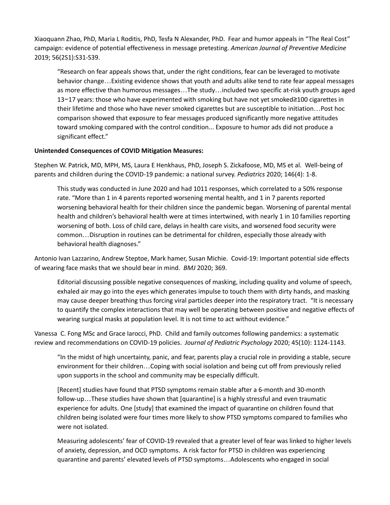Xiaoquann Zhao, PhD, Maria L Roditis, PhD, Tesfa N Alexander, PhD. Fear and humor appeals in "The Real Cost" campaign: evidence of potential effectiveness in message pretesting. *American Journal of Preventive Medicine* 2019; 56(2S1):S31-S39.

"Research on fear appeals shows that, under the right conditions, fear can be leveraged to motivate behavior change…Existing evidence shows that youth and adults alike tend to rate fear appeal messages as more effective than humorous messages…The study…included two specific at-risk youth groups aged 13−17 years: those who have experimented with smoking but have not yet smoked≥100 cigarettes in their lifetime and those who have never smoked cigarettes but are susceptible to initiation…Post hoc comparison showed that exposure to fear messages produced significantly more negative attitudes toward smoking compared with the control condition... Exposure to humor ads did not produce a significant effect."

#### **Unintended Consequences of COVID Mitigation Measures:**

Stephen W. Patrick, MD, MPH, MS, Laura E Henkhaus, PhD, Joseph S. Zickafoose, MD, MS et al. Well-being of parents and children during the COVID-19 pandemic: a national survey. *Pediatrics* 2020; 146(4): 1-8.

This study was conducted in June 2020 and had 1011 responses, which correlated to a 50% response rate. "More than 1 in 4 parents reported worsening mental health, and 1 in 7 parents reported worsening behavioral health for their children since the pandemic began. Worsening of parental mental health and children's behavioral health were at times intertwined, with nearly 1 in 10 families reporting worsening of both. Loss of child care, delays in health care visits, and worsened food security were common…Disruption in routines can be detrimental for children, especially those already with behavioral health diagnoses."

Antonio Ivan Lazzarino, Andrew Steptoe, Mark hamer, Susan Michie. Covid-19: Important potential side effects of wearing face masks that we should bear in mind. *BMJ* 2020; 369.

Editorial discussing possible negative consequences of masking, including quality and volume of speech, exhaled air may go into the eyes which generates impulse to touch them with dirty hands, and masking may cause deeper breathing thus forcing viral particles deeper into the respiratory tract. "It is necessary to quantify the complex interactions that may well be operating between positive and negative effects of wearing surgical masks at population level. It is not time to act without evidence."

Vanessa C. Fong MSc and Grace Iarocci, PhD. Child and family outcomes following pandemics: a systematic review and recommendations on COVID-19 policies. *Journal of Pediatric Psychology* 2020; 45(10): 1124-1143.

"In the midst of high uncertainty, panic, and fear, parents play a crucial role in providing a stable, secure environment for their children…Coping with social isolation and being cut off from previously relied upon supports in the school and community may be especially difficult.

[Recent] studies have found that PTSD symptoms remain stable after a 6-month and 30-month follow-up…These studies have shown that [quarantine] is a highly stressful and even traumatic experience for adults. One [study] that examined the impact of quarantine on children found that children being isolated were four times more likely to show PTSD symptoms compared to families who were not isolated.

Measuring adolescents' fear of COVID-19 revealed that a greater level of fear was linked to higher levels of anxiety, depression, and OCD symptoms. A risk factor for PTSD in children was experiencing quarantine and parents' elevated levels of PTSD symptoms…Adolescents who engaged in social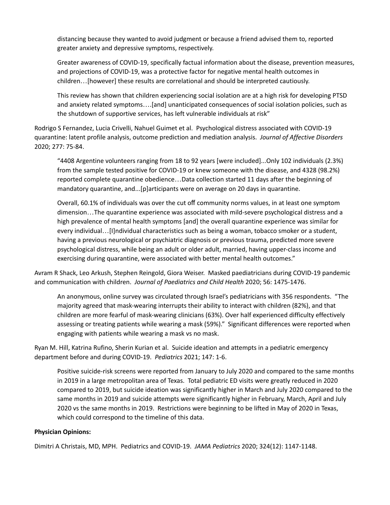distancing because they wanted to avoid judgment or because a friend advised them to, reported greater anxiety and depressive symptoms, respectively.

Greater awareness of COVID-19, specifically factual information about the disease, prevention measures, and projections of COVID-19, was a protective factor for negative mental health outcomes in children…[however] these results are correlational and should be interpreted cautiously.

This review has shown that children experiencing social isolation are at a high risk for developing PTSD and anxiety related symptoms….[and] unanticipated consequences of social isolation policies, such as the shutdown of supportive services, has left vulnerable individuals at risk"

Rodrigo S Fernandez, Lucia Crivelli, Nahuel Guimet et al. Psychological distress associated with COVID-19 quarantine: latent profile analysis, outcome prediction and mediation analysis. *Journal of Affective Disorders* 2020; 277: 75-84.

"4408 Argentine volunteers ranging from 18 to 92 years [were included]...Only 102 individuals (2.3%) from the sample tested positive for COVID-19 or knew someone with the disease, and 4328 (98.2%) reported complete quarantine obedience…Data collection started 11 days after the beginning of mandatory quarantine, and...[p]articipants were on average on 20 days in quarantine.

Overall, 60.1% of individuals was over the cut off community norms values, in at least one symptom dimension…The quarantine experience was associated with mild-severe psychological distress and a high prevalence of mental health symptoms [and] the overall quarantine experience was similar for every individual...[I]ndividual characteristics such as being a woman, tobacco smoker or a student, having a previous neurological or psychiatric diagnosis or previous trauma, predicted more severe psychological distress, while being an adult or older adult, married, having upper-class income and exercising during quarantine, were associated with better mental health outcomes."

Avram R Shack, Leo Arkush, Stephen Reingold, Giora Weiser. Masked paediatricians during COVID-19 pandemic and communication with children. *Journal of Paediatrics and Child Health* 2020; 56: 1475-1476.

An anonymous, online survey was circulated through Israel's pediatricians with 356 respondents. "The majority agreed that mask-wearing interrupts their ability to interact with children (82%), and that children are more fearful of mask-wearing clinicians (63%). Over half experienced difficulty effectively assessing or treating patients while wearing a mask (59%)." Significant differences were reported when engaging with patients while wearing a mask vs no mask.

Ryan M. Hill, Katrina Rufino, Sherin Kurian et al. Suicide ideation and attempts in a pediatric emergency department before and during COVID-19. *Pediatrics* 2021; 147: 1-6.

Positive suicide-risk screens were reported from January to July 2020 and compared to the same months in 2019 in a large metropolitan area of Texas. Total pediatric ED visits were greatly reduced in 2020 compared to 2019, but suicide ideation was significantly higher in March and July 2020 compared to the same months in 2019 and suicide attempts were significantly higher in February, March, April and July 2020 vs the same months in 2019. Restrictions were beginning to be lifted in May of 2020 in Texas, which could correspond to the timeline of this data.

## **Physician Opinions:**

Dimitri A Christais, MD, MPH. Pediatrics and COVID-19. *JAMA Pediatrics* 2020; 324(12): 1147-1148.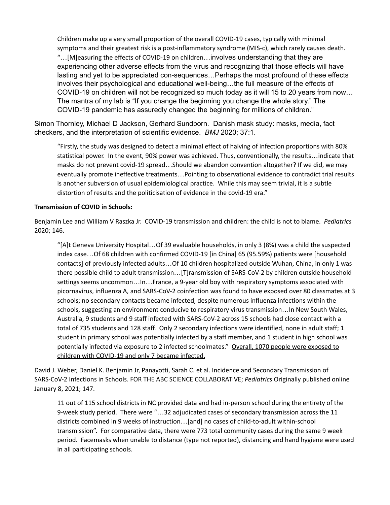Children make up a very small proportion of the overall COVID-19 cases, typically with minimal symptoms and their greatest risk is a post-inflammatory syndrome (MIS-c), which rarely causes death. "…[M]easuring the effects of COVID-19 on children…involves understanding that they are experiencing other adverse effects from the virus and recognizing that those effects will have lasting and yet to be appreciated con-sequences…Perhaps the most profound of these effects involves their psychological and educational well-being…the full measure of the effects of COVID-19 on children will not be recognized so much today as it will 15 to 20 years from now… The mantra of my lab is "If you change the beginning you change the whole story." The COVID-19 pandemic has assuredly changed the beginning for millions of children."

Simon Thornley, Michael D Jackson, Gerhard Sundborn. Danish mask study: masks, media, fact checkers, and the interpretation of scientific evidence. *BMJ* 2020; 37:1.

"Firstly, the study was designed to detect a minimal effect of halving of infection proportions with 80% statistical power. In the event, 90% power was achieved. Thus, conventionally, the results…indicate that masks do not prevent covid-19 spread…Should we abandon convention altogether? If we did, we may eventually promote ineffective treatments…Pointing to observational evidence to contradict trial results is another subversion of usual epidemiological practice. While this may seem trivial, it is a subtle distortion of results and the politicisation of evidence in the covid-19 era."

## **Transmission of COVID in Schools:**

Benjamin Lee and William V Raszka Jr. COVID-19 transmission and children: the child is not to blame. *Pediatrics* 2020; 146.

"[A]t Geneva University Hospital…Of 39 evaluable households, in only 3 (8%) was a child the suspected index case…Of 68 children with confirmed COVID-19 [in China] 65 (95.59%) patients were [household contacts] of previously infected adults…Of 10 children hospitalized outside Wuhan, China, in only 1 was there possible child to adult transmission…[T]ransmission of SARS-CoV-2 by children outside household settings seems uncommon…In…France, a 9-year old boy with respiratory symptoms associated with picornavirus, influenza A, and SARS-CoV-2 coinfection was found to have exposed over 80 classmates at 3 schools; no secondary contacts became infected, despite numerous influenza infections within the schools, suggesting an environment conducive to respiratory virus transmission…In New South Wales, Australia, 9 students and 9 staff infected with SARS-CoV-2 across 15 schools had close contact with a total of 735 students and 128 staff. Only 2 secondary infections were identified, none in adult staff; 1 student in primary school was potentially infected by a staff member, and 1 student in high school was potentially infected via exposure to 2 infected schoolmates." Overall, 1070 people were exposed to children with COVID-19 and only 7 became infected.

David J. Weber, Daniel K. Benjamin Jr, Panayotti, Sarah C. et al. Incidence and Secondary Transmission of SARS-CoV-2 Infections in Schools. FOR THE ABC SCIENCE COLLABORATIVE; *Pediatrics* Originally published online January 8, 2021; 147.

11 out of 115 school districts in NC provided data and had in-person school during the entirety of the 9-week study period. There were "…32 adjudicated cases of secondary transmission across the 11 districts combined in 9 weeks of instruction…[and] no cases of child-to-adult within-school transmission". For comparative data, there were 773 total community cases during the same 9 week period. Facemasks when unable to distance (type not reported), distancing and hand hygiene were used in all participating schools.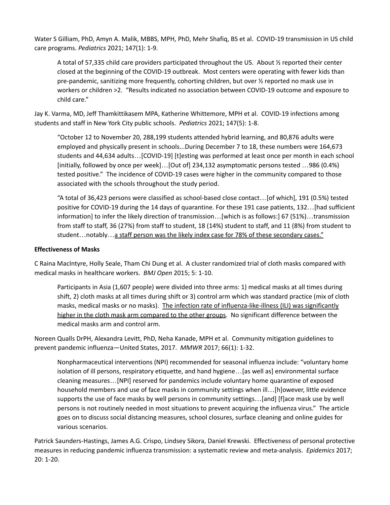Water S Gilliam, PhD, Amyn A. Malik, MBBS, MPH, PhD, Mehr Shafiq, BS et al. COVID-19 transmission in US child care programs. *Pediatrics* 2021; 147(1): 1-9.

A total of 57,335 child care providers participated throughout the US. About ½ reported their center closed at the beginning of the COVID-19 outbreak. Most centers were operating with fewer kids than pre-pandemic, sanitizing more frequently, cohorting children, but over ½ reported no mask use in workers or children >2. "Results indicated no association between COVID-19 outcome and exposure to child care."

Jay K. Varma, MD, Jeff Thamkittikasem MPA, Katherine Whittemore, MPH et al. COVID-19 infections among students and staff in New York City public schools. *Pediatrics* 2021; 147(5): 1-8.

"October 12 to November 20, 288,199 students attended hybrid learning, and 80,876 adults were employed and physically present in schools...During December 7 to 18, these numbers were 164,673 students and 44,634 adults…[COVID-19] [t]esting was performed at least once per month in each school [initially, followed by once per week]…[Out of] 234,132 asymptomatic persons tested …986 (0.4%) tested positive." The incidence of COVID-19 cases were higher in the community compared to those associated with the schools throughout the study period.

"A total of 36,423 persons were classified as school-based close contact…[of which], 191 (0.5%) tested positive for COVID-19 during the 14 days of quarantine. For these 191 case patients, 132…[had sufficient information] to infer the likely direction of transmission…[which is as follows:] 67 (51%)…transmission from staff to staff, 36 (27%) from staff to student, 18 (14%) student to staff, and 11 (8%) from student to student...notably...a staff person was the likely index case for 78% of these secondary cases."

# **Effectiveness of Masks**

C Raina MacIntyre, Holly Seale, Tham Chi Dung et al. A cluster randomized trial of cloth masks compared with medical masks in healthcare workers. *BMJ Open* 2015; 5: 1-10.

Participants in Asia (1,607 people) were divided into three arms: 1) medical masks at all times during shift, 2) cloth masks at all times during shift or 3) control arm which was standard practice (mix of cloth masks, medical masks or no masks). The infection rate of influenza-like-illness (ILI) was significantly higher in the cloth mask arm compared to the other groups. No significant difference between the medical masks arm and control arm.

Noreen Qualls DrPH, Alexandra Levitt, PhD, Neha Kanade, MPH et al. Community mitigation guidelines to prevent pandemic influenza—United States, 2017. *MMWR* 2017; 66(1): 1-32.

Nonpharmaceutical interventions (NPI) recommended for seasonal influenza include: "voluntary home isolation of ill persons, respiratory etiquette, and hand hygiene…[as well as] environmental surface cleaning measures…[NPI] reserved for pandemics include voluntary home quarantine of exposed household members and use of face masks in community settings when ill…[h]owever, little evidence supports the use of face masks by well persons in community settings…[and] [f]ace mask use by well persons is not routinely needed in most situations to prevent acquiring the influenza virus." The article goes on to discuss social distancing measures, school closures, surface cleaning and online guides for various scenarios.

Patrick Saunders-Hastings, James A.G. Crispo, Lindsey Sikora, Daniel Krewski. Effectiveness of personal protective measures in reducing pandemic influenza transmission: a systematic review and meta-analysis. *Epidemics* 2017; 20: 1-20.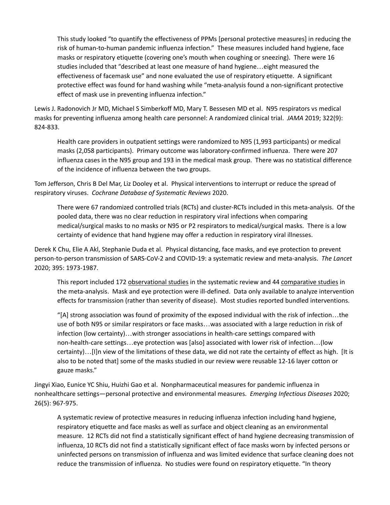This study looked "to quantify the effectiveness of PPMs [personal protective measures] in reducing the risk of human-to-human pandemic influenza infection." These measures included hand hygiene, face masks or respiratory etiquette (covering one's mouth when coughing or sneezing). There were 16 studies included that "described at least one measure of hand hygiene…eight measured the effectiveness of facemask use" and none evaluated the use of respiratory etiquette. A significant protective effect was found for hand washing while "meta-analysis found a non-significant protective effect of mask use in preventing influenza infection."

Lewis J. Radonovich Jr MD, Michael S Simberkoff MD, Mary T. Bessesen MD et al. N95 respirators vs medical masks for preventing influenza among health care personnel: A randomized clinical trial. *JAMA* 2019; 322(9): 824-833.

Health care providers in outpatient settings were randomized to N95 (1,993 participants) or medical masks (2,058 participants). Primary outcome was laboratory-confirmed influenza. There were 207 influenza cases in the N95 group and 193 in the medical mask group. There was no statistical difference of the incidence of influenza between the two groups.

Tom Jefferson, Chris B Del Mar, Liz Dooley et al. Physical interventions to interrupt or reduce the spread of respiratory viruses. *Cochrane Database of Systematic Reviews* 2020.

There were 67 randomized controlled trials (RCTs) and cluster-RCTs included in this meta-analysis. Of the pooled data, there was no clear reduction in respiratory viral infections when comparing medical/surgical masks to no masks or N95 or P2 respirators to medical/surgical masks. There is a low certainty of evidence that hand hygiene may offer a reduction in respiratory viral illnesses.

Derek K Chu, Elie A Akl, Stephanie Duda et al. Physical distancing, face masks, and eye protection to prevent person-to-person transmission of SARS-CoV-2 and COVID-19: a systematic review and meta-analysis. *The Lancet* 2020; 395: 1973-1987.

This report included 172 observational studies in the systematic review and 44 comparative studies in the meta-analysis. Mask and eye protection were ill-defined. Data only available to analyze intervention effects for transmission (rather than severity of disease). Most studies reported bundled interventions.

"[A] strong association was found of proximity of the exposed individual with the risk of infection…the use of both N95 or similar respirators or face masks…was associated with a large reduction in risk of infection (low certainty)…with stronger associations in health-care settings compared with non-health-care settings…eye protection was [also] associated with lower risk of infection…(low certainty)…[I]n view of the limitations of these data, we did not rate the certainty of effect as high. [It is also to be noted that] some of the masks studied in our review were reusable 12-16 layer cotton or gauze masks."

Jingyi Xiao, Eunice YC Shiu, Huizhi Gao et al. Nonpharmaceutical measures for pandemic influenza in nonhealthcare settings—personal protective and environmental measures. *Emerging Infectious Diseases* 2020; 26(5): 967-975.

A systematic review of protective measures in reducing influenza infection including hand hygiene, respiratory etiquette and face masks as well as surface and object cleaning as an environmental measure. 12 RCTs did not find a statistically significant effect of hand hygiene decreasing transmission of influenza, 10 RCTs did not find a statistically significant effect of face masks worn by infected persons or uninfected persons on transmission of influenza and was limited evidence that surface cleaning does not reduce the transmission of influenza. No studies were found on respiratory etiquette. "In theory